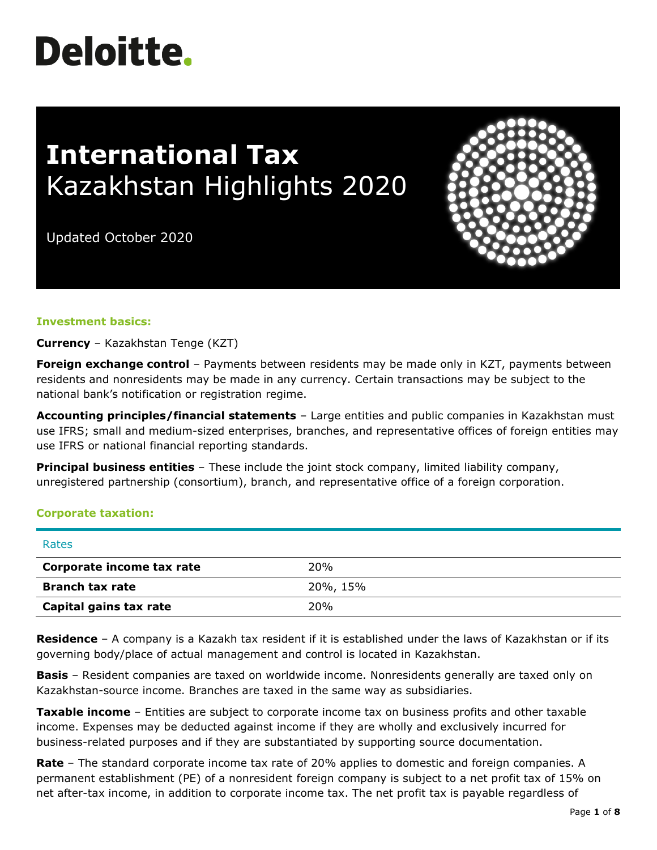# **Deloitte.**

# **International Tax** Kazakhstan Highlights 2020

Updated October 2020



### **Investment basics:**

**Currency** – Kazakhstan Tenge (KZT)

**Foreign exchange control** – Payments between residents may be made only in KZT, payments between residents and nonresidents may be made in any currency. Certain transactions may be subject to the national bank's notification or registration regime.

**Accounting principles/financial statements** – Large entities and public companies in Kazakhstan must use IFRS; small and medium-sized enterprises, branches, and representative offices of foreign entities may use IFRS or national financial reporting standards.

**Principal business entities** – These include the joint stock company, limited liability company, unregistered partnership (consortium), branch, and representative office of a foreign corporation.

### **Corporate taxation:**

| Rates                     |            |
|---------------------------|------------|
| Corporate income tax rate | <b>20%</b> |
| <b>Branch tax rate</b>    | 20%, 15%   |
| Capital gains tax rate    | <b>20%</b> |

**Residence** – A company is a Kazakh tax resident if it is established under the laws of Kazakhstan or if its governing body/place of actual management and control is located in Kazakhstan.

**Basis** – Resident companies are taxed on worldwide income. Nonresidents generally are taxed only on Kazakhstan-source income. Branches are taxed in the same way as subsidiaries.

**Taxable income** – Entities are subject to corporate income tax on business profits and other taxable income. Expenses may be deducted against income if they are wholly and exclusively incurred for business-related purposes and if they are substantiated by supporting source documentation.

**Rate** – The standard corporate income tax rate of 20% applies to domestic and foreign companies. A permanent establishment (PE) of a nonresident foreign company is subject to a net profit tax of 15% on net after-tax income, in addition to corporate income tax. The net profit tax is payable regardless of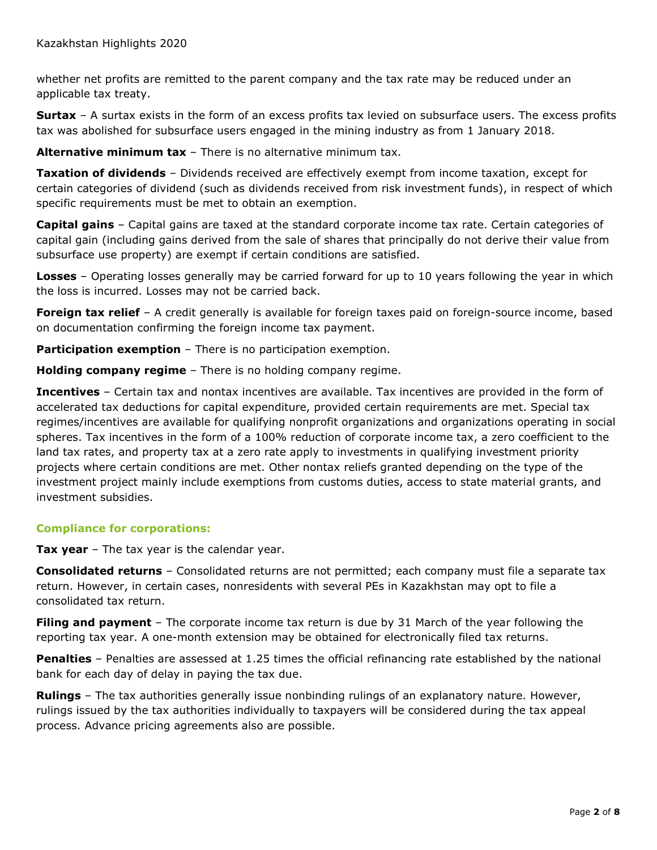whether net profits are remitted to the parent company and the tax rate may be reduced under an applicable tax treaty.

**Surtax** – A surtax exists in the form of an excess profits tax levied on subsurface users. The excess profits tax was abolished for subsurface users engaged in the mining industry as from 1 January 2018.

**Alternative minimum tax** – There is no alternative minimum tax.

**Taxation of dividends** – Dividends received are effectively exempt from income taxation, except for certain categories of dividend (such as dividends received from risk investment funds), in respect of which specific requirements must be met to obtain an exemption.

**Capital gains** – Capital gains are taxed at the standard corporate income tax rate. Certain categories of capital gain (including gains derived from the sale of shares that principally do not derive their value from subsurface use property) are exempt if certain conditions are satisfied.

**Losses** – Operating losses generally may be carried forward for up to 10 years following the year in which the loss is incurred. Losses may not be carried back.

**Foreign tax relief** - A credit generally is available for foreign taxes paid on foreign-source income, based on documentation confirming the foreign income tax payment.

**Participation exemption** – There is no participation exemption.

**Holding company regime** – There is no holding company regime.

**Incentives** – Certain tax and nontax incentives are available. Tax incentives are provided in the form of accelerated tax deductions for capital expenditure, provided certain requirements are met. Special tax regimes/incentives are available for qualifying nonprofit organizations and organizations operating in social spheres. Tax incentives in the form of a 100% reduction of corporate income tax, a zero coefficient to the land tax rates, and property tax at a zero rate apply to investments in qualifying investment priority projects where certain conditions are met. Other nontax reliefs granted depending on the type of the investment project mainly include exemptions from customs duties, access to state material grants, and investment subsidies.

#### **Compliance for corporations:**

**Tax year** – The tax year is the calendar year.

**Consolidated returns** – Consolidated returns are not permitted; each company must file a separate tax return. However, in certain cases, nonresidents with several PEs in Kazakhstan may opt to file a consolidated tax return.

**Filing and payment** – The corporate income tax return is due by 31 March of the year following the reporting tax year. A one-month extension may be obtained for electronically filed tax returns.

**Penalties** – Penalties are assessed at 1.25 times the official refinancing rate established by the national bank for each day of delay in paying the tax due.

**Rulings** – The tax authorities generally issue nonbinding rulings of an explanatory nature. However, rulings issued by the tax authorities individually to taxpayers will be considered during the tax appeal process. Advance pricing agreements also are possible.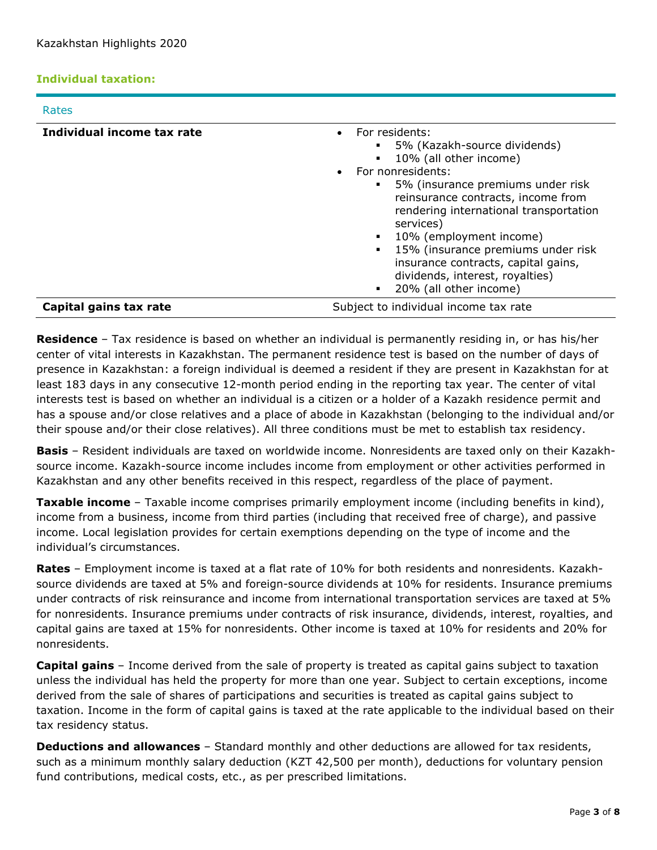### **Individual taxation:**

| Rates                      |                                                                                                                                                                                                                                                                                                                                                                                                                                                              |
|----------------------------|--------------------------------------------------------------------------------------------------------------------------------------------------------------------------------------------------------------------------------------------------------------------------------------------------------------------------------------------------------------------------------------------------------------------------------------------------------------|
| Individual income tax rate | For residents:<br>$\bullet$<br>5% (Kazakh-source dividends)<br>٠<br>10% (all other income)<br>٠<br>For nonresidents:<br>$\bullet$<br>5% (insurance premiums under risk<br>٠<br>reinsurance contracts, income from<br>rendering international transportation<br>services)<br>10% (employment income)<br>٠<br>15% (insurance premiums under risk<br>٠<br>insurance contracts, capital gains,<br>dividends, interest, royalties)<br>20% (all other income)<br>٠ |
| Capital gains tax rate     | Subject to individual income tax rate                                                                                                                                                                                                                                                                                                                                                                                                                        |

**Residence** – Tax residence is based on whether an individual is permanently residing in, or has his/her center of vital interests in Kazakhstan. The permanent residence test is based on the number of days of presence in Kazakhstan: a foreign individual is deemed a resident if they are present in Kazakhstan for at least 183 days in any consecutive 12-month period ending in the reporting tax year. The center of vital interests test is based on whether an individual is a citizen or a holder of a Kazakh residence permit and has a spouse and/or close relatives and a place of abode in Kazakhstan (belonging to the individual and/or their spouse and/or their close relatives). All three conditions must be met to establish tax residency.

**Basis** – Resident individuals are taxed on worldwide income. Nonresidents are taxed only on their Kazakhsource income. Kazakh-source income includes income from employment or other activities performed in Kazakhstan and any other benefits received in this respect, regardless of the place of payment.

**Taxable income** – Taxable income comprises primarily employment income (including benefits in kind), income from a business, income from third parties (including that received free of charge), and passive income. Local legislation provides for certain exemptions depending on the type of income and the individual's circumstances.

**Rates** – Employment income is taxed at a flat rate of 10% for both residents and nonresidents. Kazakhsource dividends are taxed at 5% and foreign-source dividends at 10% for residents. Insurance premiums under contracts of risk reinsurance and income from international transportation services are taxed at 5% for nonresidents. Insurance premiums under contracts of risk insurance, dividends, interest, royalties, and capital gains are taxed at 15% for nonresidents. Other income is taxed at 10% for residents and 20% for nonresidents.

**Capital gains** – Income derived from the sale of property is treated as capital gains subject to taxation unless the individual has held the property for more than one year. Subject to certain exceptions, income derived from the sale of shares of participations and securities is treated as capital gains subject to taxation. Income in the form of capital gains is taxed at the rate applicable to the individual based on their tax residency status.

**Deductions and allowances** – Standard monthly and other deductions are allowed for tax residents, such as a minimum monthly salary deduction (KZT 42,500 per month), deductions for voluntary pension fund contributions, medical costs, etc., as per prescribed limitations.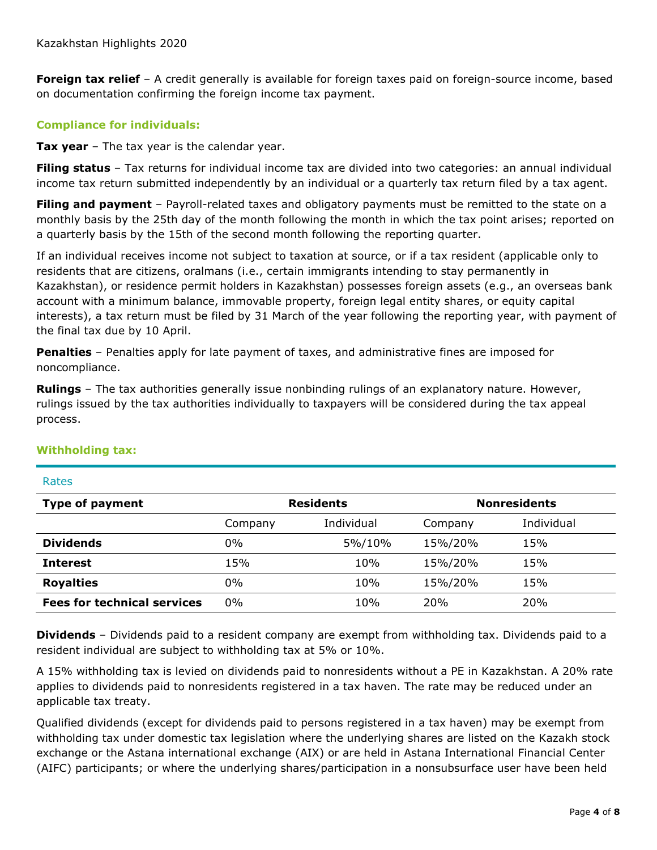**Foreign tax relief** – A credit generally is available for foreign taxes paid on foreign-source income, based on documentation confirming the foreign income tax payment.

## **Compliance for individuals:**

**Tax year** – The tax year is the calendar year.

**Filing status** – Tax returns for individual income tax are divided into two categories: an annual individual income tax return submitted independently by an individual or a quarterly tax return filed by a tax agent.

**Filing and payment** – Payroll-related taxes and obligatory payments must be remitted to the state on a monthly basis by the 25th day of the month following the month in which the tax point arises; reported on a quarterly basis by the 15th of the second month following the reporting quarter.

If an individual receives income not subject to taxation at source, or if a tax resident (applicable only to residents that are citizens, oralmans (i.e., certain immigrants intending to stay permanently in Kazakhstan), or residence permit holders in Kazakhstan) possesses foreign assets (e.g., an overseas bank account with a minimum balance, immovable property, foreign legal entity shares, or equity capital interests), a tax return must be filed by 31 March of the year following the reporting year, with payment of the final tax due by 10 April.

**Penalties** – Penalties apply for late payment of taxes, and administrative fines are imposed for noncompliance.

**Rulings** – The tax authorities generally issue nonbinding rulings of an explanatory nature. However, rulings issued by the tax authorities individually to taxpayers will be considered during the tax appeal process.

| Rates                              |                  |            |                     |            |
|------------------------------------|------------------|------------|---------------------|------------|
| <b>Type of payment</b>             | <b>Residents</b> |            | <b>Nonresidents</b> |            |
|                                    | Company          | Individual | Company             | Individual |
| <b>Dividends</b>                   | 0%               | 5%/10%     | 15%/20%             | 15%        |
| <b>Interest</b>                    | 15%              | 10%        | 15%/20%             | 15%        |
| <b>Royalties</b>                   | $0\%$            | 10%        | 15%/20%             | 15%        |
| <b>Fees for technical services</b> | $0\%$            | 10%        | <b>20%</b>          | 20%        |

### **Withholding tax:**

**Dividends** – Dividends paid to a resident company are exempt from withholding tax. Dividends paid to a resident individual are subject to withholding tax at 5% or 10%.

A 15% withholding tax is levied on dividends paid to nonresidents without a PE in Kazakhstan. A 20% rate applies to dividends paid to nonresidents registered in a tax haven. The rate may be reduced under an applicable tax treaty.

Qualified dividends (except for dividends paid to persons registered in a tax haven) may be exempt from withholding tax under domestic tax legislation where the underlying shares are listed on the Kazakh stock exchange or the Astana international exchange (AIX) or are held in Astana International Financial Center (AIFC) participants; or where the underlying shares/participation in a nonsubsurface user have been held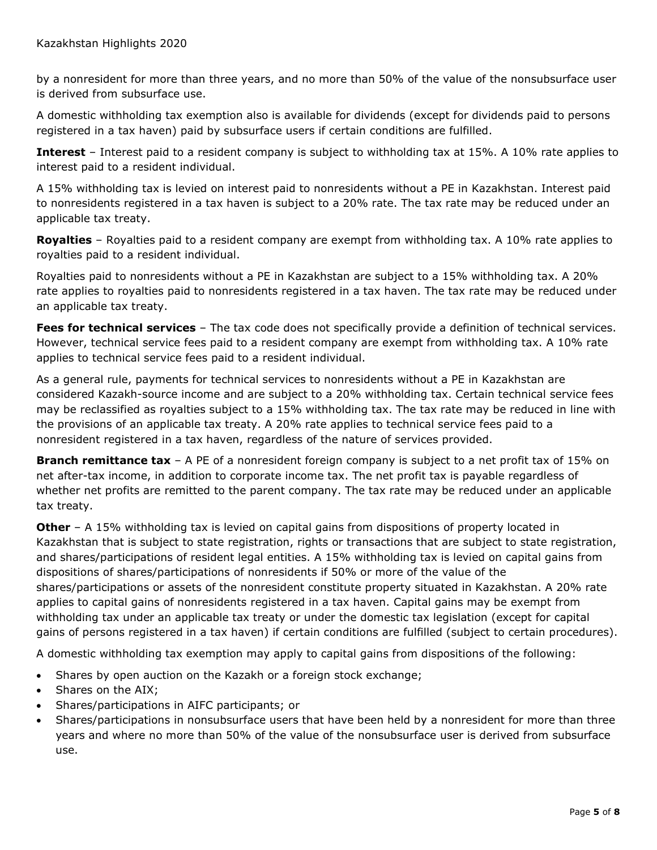by a nonresident for more than three years, and no more than 50% of the value of the nonsubsurface user is derived from subsurface use.

A domestic withholding tax exemption also is available for dividends (except for dividends paid to persons registered in a tax haven) paid by subsurface users if certain conditions are fulfilled.

**Interest** – Interest paid to a resident company is subject to withholding tax at 15%. A 10% rate applies to interest paid to a resident individual.

A 15% withholding tax is levied on interest paid to nonresidents without a PE in Kazakhstan. Interest paid to nonresidents registered in a tax haven is subject to a 20% rate. The tax rate may be reduced under an applicable tax treaty.

**Royalties** – Royalties paid to a resident company are exempt from withholding tax. A 10% rate applies to royalties paid to a resident individual.

Royalties paid to nonresidents without a PE in Kazakhstan are subject to a 15% withholding tax. A 20% rate applies to royalties paid to nonresidents registered in a tax haven. The tax rate may be reduced under an applicable tax treaty.

**Fees for technical services** – The tax code does not specifically provide a definition of technical services. However, technical service fees paid to a resident company are exempt from withholding tax. A 10% rate applies to technical service fees paid to a resident individual.

As a general rule, payments for technical services to nonresidents without a PE in Kazakhstan are considered Kazakh-source income and are subject to a 20% withholding tax. Certain technical service fees may be reclassified as royalties subject to a 15% withholding tax. The tax rate may be reduced in line with the provisions of an applicable tax treaty. A 20% rate applies to technical service fees paid to a nonresident registered in a tax haven, regardless of the nature of services provided.

**Branch remittance tax** – A PE of a nonresident foreign company is subject to a net profit tax of 15% on net after-tax income, in addition to corporate income tax. The net profit tax is payable regardless of whether net profits are remitted to the parent company. The tax rate may be reduced under an applicable tax treaty.

**Other** – A 15% withholding tax is levied on capital gains from dispositions of property located in Kazakhstan that is subject to state registration, rights or transactions that are subject to state registration, and shares/participations of resident legal entities. A 15% withholding tax is levied on capital gains from dispositions of shares/participations of nonresidents if 50% or more of the value of the shares/participations or assets of the nonresident constitute property situated in Kazakhstan. A 20% rate applies to capital gains of nonresidents registered in a tax haven. Capital gains may be exempt from withholding tax under an applicable tax treaty or under the domestic tax legislation (except for capital gains of persons registered in a tax haven) if certain conditions are fulfilled (subject to certain procedures).

A domestic withholding tax exemption may apply to capital gains from dispositions of the following:

- Shares by open auction on the Kazakh or a foreign stock exchange;
- Shares on the AIX;
- Shares/participations in AIFC participants; or
- Shares/participations in nonsubsurface users that have been held by a nonresident for more than three years and where no more than 50% of the value of the nonsubsurface user is derived from subsurface use.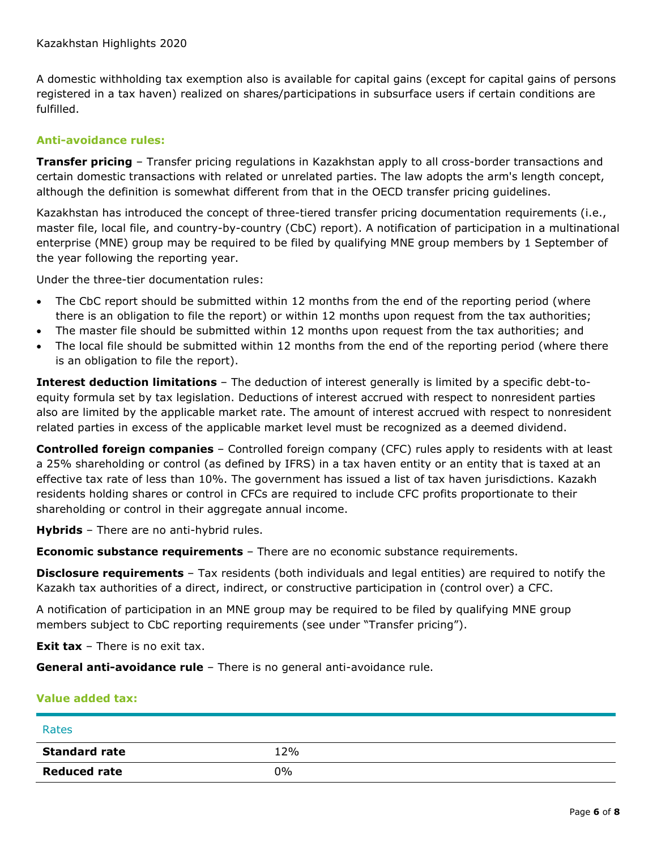A domestic withholding tax exemption also is available for capital gains (except for capital gains of persons registered in a tax haven) realized on shares/participations in subsurface users if certain conditions are fulfilled.

#### **Anti-avoidance rules:**

**Transfer pricing** – Transfer pricing regulations in Kazakhstan apply to all cross-border transactions and certain domestic transactions with related or unrelated parties. The law adopts the arm's length concept, although the definition is somewhat different from that in the OECD transfer pricing guidelines.

Kazakhstan has introduced the concept of three-tiered transfer pricing documentation requirements (i.e., master file, local file, and country-by-country (CbC) report). A notification of participation in a multinational enterprise (MNE) group may be required to be filed by qualifying MNE group members by 1 September of the year following the reporting year.

Under the three-tier documentation rules:

- The CbC report should be submitted within 12 months from the end of the reporting period (where there is an obligation to file the report) or within 12 months upon request from the tax authorities;
- The master file should be submitted within 12 months upon request from the tax authorities; and
- The local file should be submitted within 12 months from the end of the reporting period (where there is an obligation to file the report).

**Interest deduction limitations** – The deduction of interest generally is limited by a specific debt-toequity formula set by tax legislation. Deductions of interest accrued with respect to nonresident parties also are limited by the applicable market rate. The amount of interest accrued with respect to nonresident related parties in excess of the applicable market level must be recognized as a deemed dividend.

**Controlled foreign companies** – Controlled foreign company (CFC) rules apply to residents with at least a 25% shareholding or control (as defined by IFRS) in a tax haven entity or an entity that is taxed at an effective tax rate of less than 10%. The government has issued a list of tax haven jurisdictions. Kazakh residents holding shares or control in CFCs are required to include CFC profits proportionate to their shareholding or control in their aggregate annual income.

**Hybrids** – There are no anti-hybrid rules.

**Economic substance requirements** – There are no economic substance requirements.

**Disclosure requirements** – Tax residents (both individuals and legal entities) are required to notify the Kazakh tax authorities of a direct, indirect, or constructive participation in (control over) a CFC.

A notification of participation in an MNE group may be required to be filed by qualifying MNE group members subject to CbC reporting requirements (see under "Transfer pricing").

**Exit tax** – There is no exit tax.

**General anti-avoidance rule** – There is no general anti-avoidance rule.

### **Value added tax:**

| Rates                |       |
|----------------------|-------|
| <b>Standard rate</b> | 12%   |
| <b>Reduced rate</b>  | $0\%$ |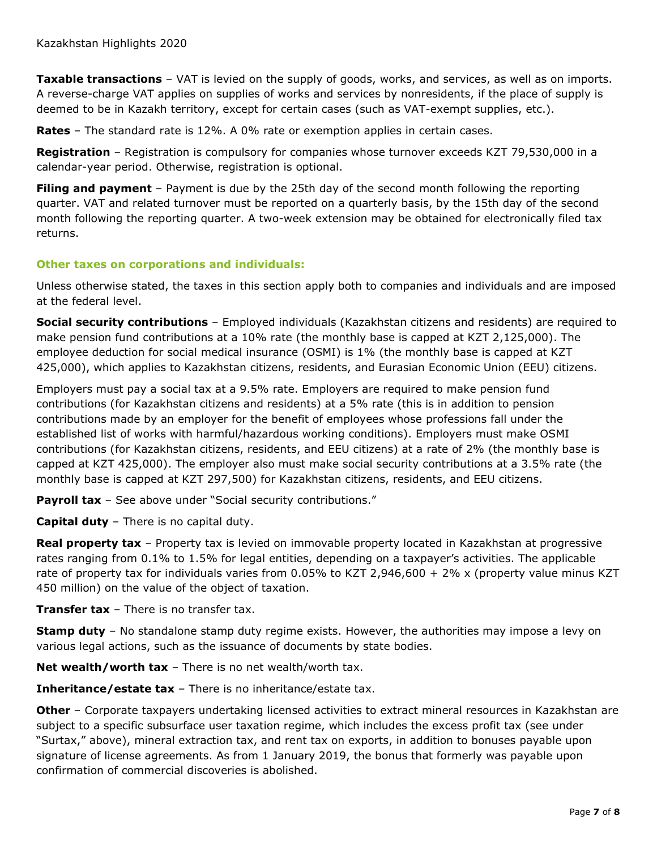**Taxable transactions** – VAT is levied on the supply of goods, works, and services, as well as on imports. A reverse-charge VAT applies on supplies of works and services by nonresidents, if the place of supply is deemed to be in Kazakh territory, except for certain cases (such as VAT-exempt supplies, etc.).

**Rates** – The standard rate is 12%. A 0% rate or exemption applies in certain cases.

**Registration** – Registration is compulsory for companies whose turnover exceeds KZT 79,530,000 in a calendar-year period. Otherwise, registration is optional.

**Filing and payment** – Payment is due by the 25th day of the second month following the reporting quarter. VAT and related turnover must be reported on a quarterly basis, by the 15th day of the second month following the reporting quarter. A two-week extension may be obtained for electronically filed tax returns.

### **Other taxes on corporations and individuals:**

Unless otherwise stated, the taxes in this section apply both to companies and individuals and are imposed at the federal level.

**Social security contributions** – Employed individuals (Kazakhstan citizens and residents) are required to make pension fund contributions at a 10% rate (the monthly base is capped at KZT 2,125,000). The employee deduction for social medical insurance (OSMI) is 1% (the monthly base is capped at KZT 425,000), which applies to Kazakhstan citizens, residents, and Eurasian Economic Union (EEU) citizens.

Employers must pay a social tax at a 9.5% rate. Employers are required to make pension fund contributions (for Kazakhstan citizens and residents) at a 5% rate (this is in addition to pension contributions made by an employer for the benefit of employees whose professions fall under the established list of works with harmful/hazardous working conditions). Employers must make OSMI contributions (for Kazakhstan citizens, residents, and EEU citizens) at a rate of 2% (the monthly base is capped at KZT 425,000). The employer also must make social security contributions at a 3.5% rate (the monthly base is capped at KZT 297,500) for Kazakhstan citizens, residents, and EEU citizens.

**Payroll tax** - See above under "Social security contributions."

**Capital duty** – There is no capital duty.

**Real property tax** – Property tax is levied on immovable property located in Kazakhstan at progressive rates ranging from 0.1% to 1.5% for legal entities, depending on a taxpayer's activities. The applicable rate of property tax for individuals varies from 0.05% to KZT 2,946,600 + 2% x (property value minus KZT 450 million) on the value of the object of taxation.

**Transfer tax** – There is no transfer tax.

**Stamp duty** - No standalone stamp duty regime exists. However, the authorities may impose a levy on various legal actions, such as the issuance of documents by state bodies.

**Net wealth/worth tax** – There is no net wealth/worth tax.

**Inheritance/estate tax** – There is no inheritance/estate tax.

**Other** – Corporate taxpayers undertaking licensed activities to extract mineral resources in Kazakhstan are subject to a specific subsurface user taxation regime, which includes the excess profit tax (see under "Surtax," above), mineral extraction tax, and rent tax on exports, in addition to bonuses payable upon signature of license agreements. As from 1 January 2019, the bonus that formerly was payable upon confirmation of commercial discoveries is abolished.